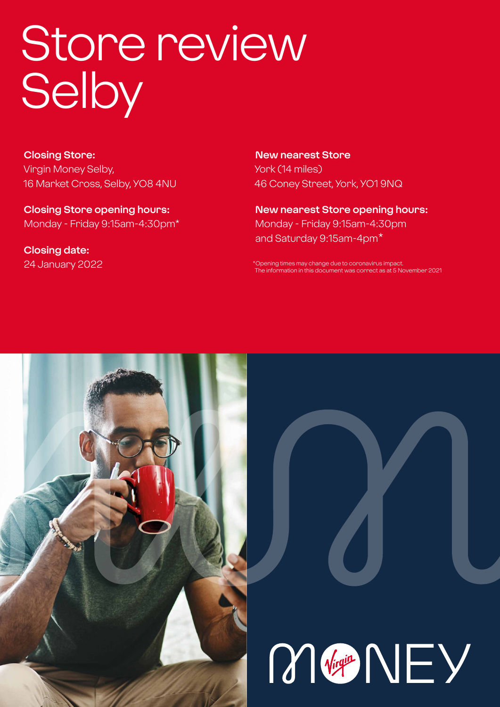# Store review **Selby**

**Closing Store:** Virgin Money Selby, 16 Market Cross, Selby, YO8 4NU

**Closing Store opening hours:**  Monday - Friday 9:15am-4:30pm\*

**Closing date:**  24 January 2022

**New nearest Store** York (14 miles) 46 Coney Street, York, YO1 9NQ

**New nearest Store opening hours:** Monday - Friday 9:15am-4:30pm and Saturday 9:15am-4pm\*

\*Opening times may change due to coronavirus impact. The information in this document was correct as at 5 November 2021



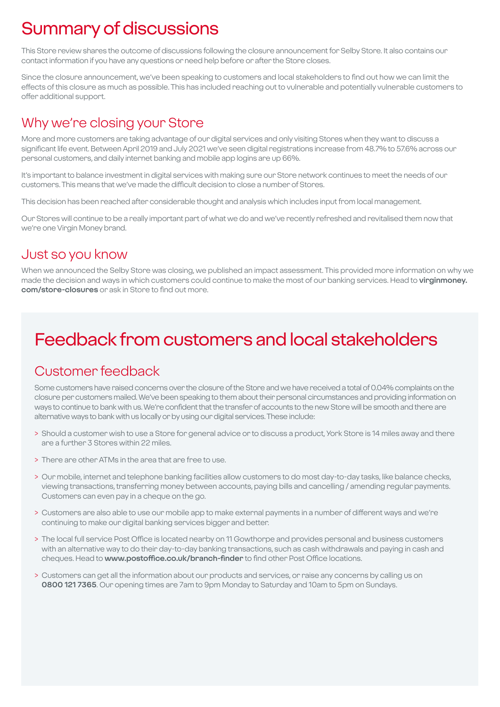# Summary of discussions

This Store review shares the outcome of discussions following the closure announcement for Selby Store. It also contains our contact information if you have any questions or need help before or after the Store closes.

Since the closure announcement, we've been speaking to customers and local stakeholders to find out how we can limit the effects of this closure as much as possible. This has included reaching out to vulnerable and potentially vulnerable customers to offer additional support.

### Why we're closing your Store

More and more customers are taking advantage of our digital services and only visiting Stores when they want to discuss a significant life event. Between April 2019 and July 2021 we've seen digital registrations increase from 48.7% to 57.6% across our personal customers, and daily internet banking and mobile app logins are up 66%.

It's important to balance investment in digital services with making sure our Store network continues to meet the needs of our customers. This means that we've made the difficult decision to close a number of Stores.

This decision has been reached after considerable thought and analysis which includes input from local management.

Our Stores will continue to be a really important part of what we do and we've recently refreshed and revitalised them now that we're one Virgin Money brand.

### Just so you know

When we announced the Selby Store was closing, we published an impact assessment. This provided more information on why we made the decision and ways in which customers could continue to make the most of our banking services. Head to **virginmoney. com/store-closures** or ask in Store to find out more.

# Feedback from customers and local stakeholders

### Customer feedback

Some customers have raised concerns over the closure of the Store and we have received a total of 0.04% complaints on the closure per customers mailed. We've been speaking to them about their personal circumstances and providing information on ways to continue to bank with us. We're confident that the transfer of accounts to the new Store will be smooth and there are alternative ways to bank with us locally or by using our digital services. These include:

- > Should a customer wish to use a Store for general advice or to discuss a product, York Store is 14 miles away and there are a further 3 Stores within 22 miles.
- > There are other ATMs in the area that are free to use.
- > Our mobile, internet and telephone banking facilities allow customers to do most day-to-day tasks, like balance checks, viewing transactions, transferring money between accounts, paying bills and cancelling / amending regular payments. Customers can even pay in a cheque on the go.
- > Customers are also able to use our mobile app to make external payments in a number of different ways and we're continuing to make our digital banking services bigger and better.
- > The local full service Post Office is located nearby on 11 Gowthorpe and provides personal and business customers with an alternative way to do their day-to-day banking transactions, such as cash withdrawals and paying in cash and cheques. Head to **www.postoffice.co.uk/branch-finder** to find other Post Office locations.
- > Customers can get all the information about our products and services, or raise any concerns by calling us on **0800 121 7365**. Our opening times are 7am to 9pm Monday to Saturday and 10am to 5pm on Sundays.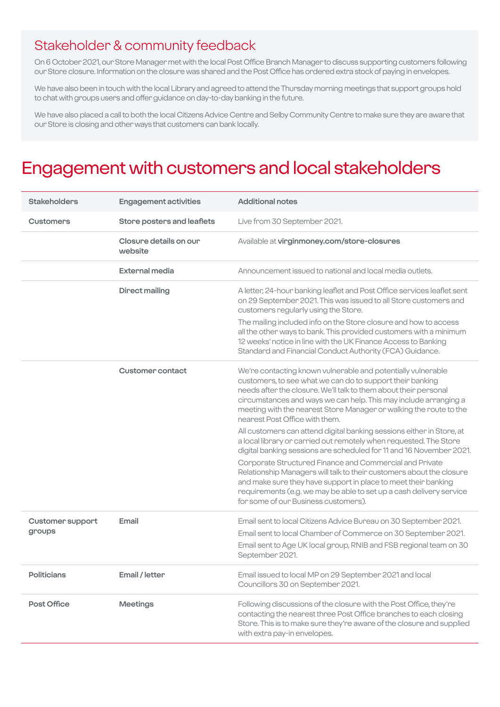### Stakeholder & community feedback

On 6 October 2021, our Store Manager met with the local Post Office Branch Manager to discuss supporting customers following our Store closure. Information on the closure was shared and the Post Office has ordered extra stock of paying in envelopes.

We have also been in touch with the local Library and agreed to attend the Thursday morning meetings that support groups hold to chat with groups users and offer guidance on day-to-day banking in the future.

We have also placed a call to both the local Citizens Advice Centre and Selby Community Centre to make sure they are aware that our Store is closing and other ways that customers can bank locally.

# Engagement with customers and local stakeholders

| <b>Stakeholders</b>               | <b>Engagement activities</b>      | <b>Additional notes</b>                                                                                                                                                                                                                                                                                                                                                                                                                                                                                                               |
|-----------------------------------|-----------------------------------|---------------------------------------------------------------------------------------------------------------------------------------------------------------------------------------------------------------------------------------------------------------------------------------------------------------------------------------------------------------------------------------------------------------------------------------------------------------------------------------------------------------------------------------|
| <b>Customers</b>                  | Store posters and leaflets        | Live from 30 September 2021.                                                                                                                                                                                                                                                                                                                                                                                                                                                                                                          |
|                                   | Closure details on our<br>website | Available at virginmoney.com/store-closures                                                                                                                                                                                                                                                                                                                                                                                                                                                                                           |
|                                   | External media                    | Announcement issued to national and local media outlets.                                                                                                                                                                                                                                                                                                                                                                                                                                                                              |
|                                   | <b>Direct mailing</b>             | A letter, 24-hour banking leaflet and Post Office services leaflet sent<br>on 29 September 2021. This was issued to all Store customers and<br>customers regularly using the Store.                                                                                                                                                                                                                                                                                                                                                   |
|                                   |                                   | The mailing included info on the Store closure and how to access<br>all the other ways to bank. This provided customers with a minimum<br>12 weeks' notice in line with the UK Finance Access to Banking<br>Standard and Financial Conduct Authority (FCA) Guidance.                                                                                                                                                                                                                                                                  |
|                                   | <b>Customer contact</b>           | We're contacting known vulnerable and potentially vulnerable<br>customers, to see what we can do to support their banking<br>needs after the closure. We'll talk to them about their personal<br>circumstances and ways we can help. This may include arranging a<br>meeting with the nearest Store Manager or walking the route to the<br>nearest Post Office with them.                                                                                                                                                             |
|                                   |                                   | All customers can attend digital banking sessions either in Store, at<br>a local library or carried out remotely when requested. The Store<br>digital banking sessions are scheduled for 11 and 16 November 2021.<br>Corporate Structured Finance and Commercial and Private<br>Relationship Managers will talk to their customers about the closure<br>and make sure they have support in place to meet their banking<br>requirements (e.g. we may be able to set up a cash delivery service<br>for some of our Business customers). |
| <b>Customer support</b><br>groups | Email                             | Email sent to local Citizens Advice Bureau on 30 September 2021.<br>Email sent to local Chamber of Commerce on 30 September 2021.<br>Email sent to Age UK local group, RNIB and FSB regional team on 30<br>September 2021.                                                                                                                                                                                                                                                                                                            |
| <b>Politicians</b>                | Email / letter                    | Email issued to local MP on 29 September 2021 and local<br>Councillors 30 on September 2021.                                                                                                                                                                                                                                                                                                                                                                                                                                          |
| Post Office                       | <b>Meetings</b>                   | Following discussions of the closure with the Post Office, they're<br>contacting the nearest three Post Office branches to each closing<br>Store. This is to make sure they're aware of the closure and supplied<br>with extra pay-in envelopes.                                                                                                                                                                                                                                                                                      |